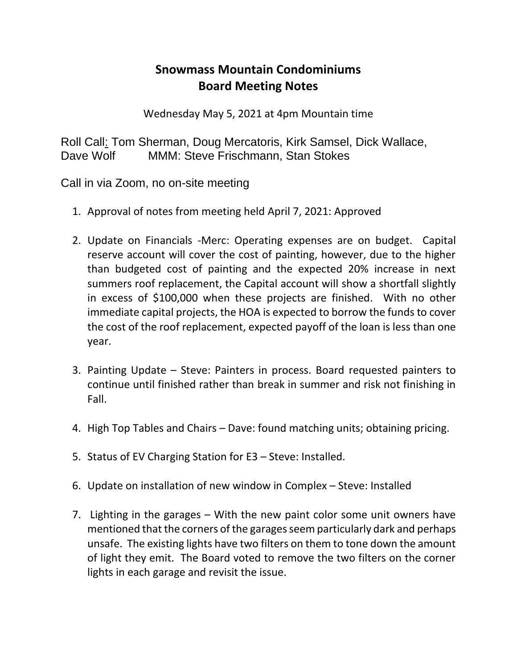## **Snowmass Mountain Condominiums Board Meeting Notes**

Wednesday May 5, 2021 at 4pm Mountain time

Roll Call: Tom Sherman, Doug Mercatoris, Kirk Samsel, Dick Wallace, Dave Wolf MMM: Steve Frischmann, Stan Stokes

Call in via Zoom, no on-site meeting

- 1. Approval of notes from meeting held April 7, 2021: Approved
- 2. Update on Financials -Merc: Operating expenses are on budget. Capital reserve account will cover the cost of painting, however, due to the higher than budgeted cost of painting and the expected 20% increase in next summers roof replacement, the Capital account will show a shortfall slightly in excess of \$100,000 when these projects are finished. With no other immediate capital projects, the HOA is expected to borrow the funds to cover the cost of the roof replacement, expected payoff of the loan is less than one year.
- 3. Painting Update Steve: Painters in process. Board requested painters to continue until finished rather than break in summer and risk not finishing in Fall.
- 4. High Top Tables and Chairs Dave: found matching units; obtaining pricing.
- 5. Status of EV Charging Station for E3 Steve: Installed.
- 6. Update on installation of new window in Complex Steve: Installed
- 7. Lighting in the garages With the new paint color some unit owners have mentioned that the corners of the garages seem particularly dark and perhaps unsafe. The existing lights have two filters on them to tone down the amount of light they emit. The Board voted to remove the two filters on the corner lights in each garage and revisit the issue.